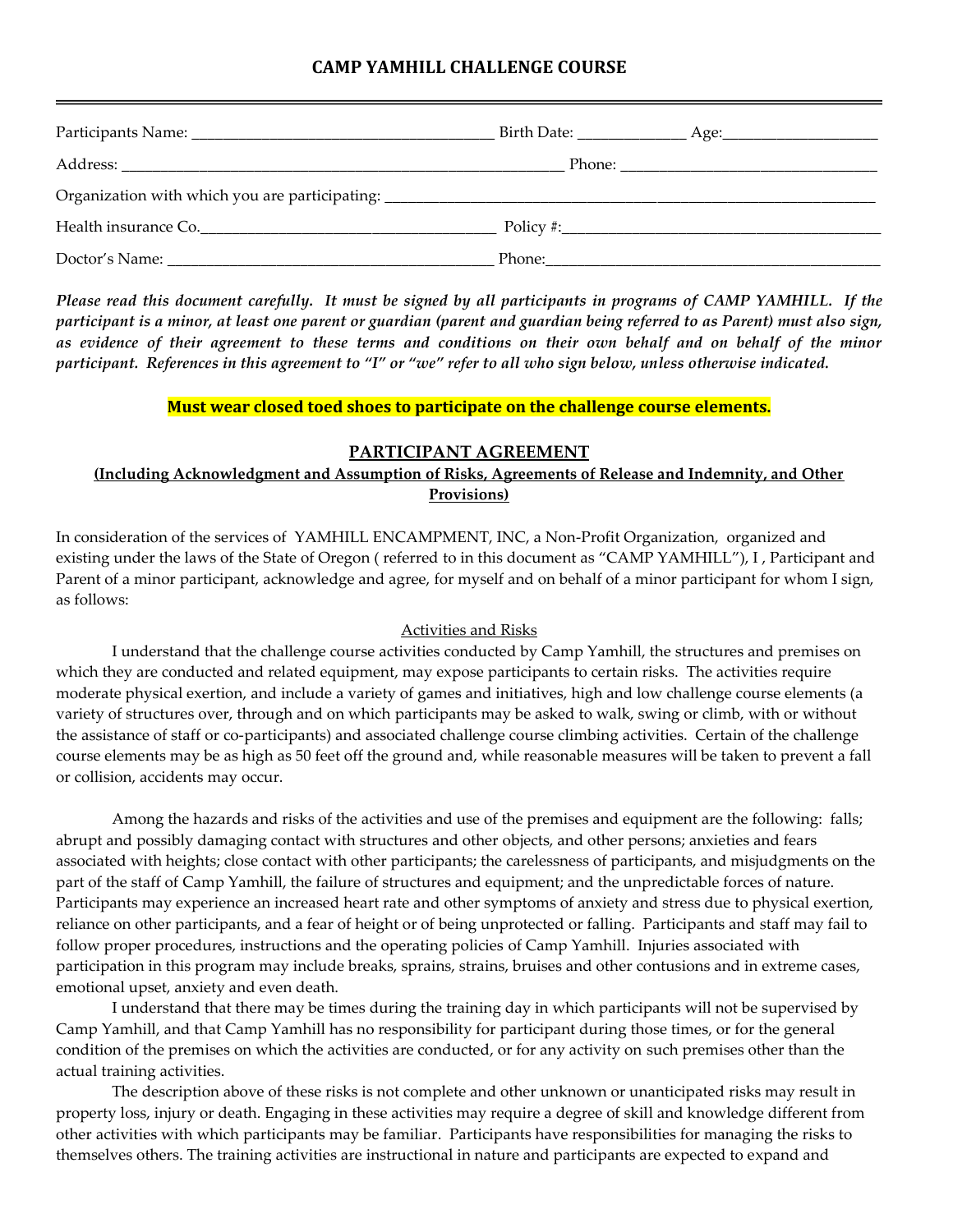# **CAMP YAMHILL CHALLENGE COURSE**

| Organization with which you are participating: |                                                                                                               |  |
|------------------------------------------------|---------------------------------------------------------------------------------------------------------------|--|
|                                                |                                                                                                               |  |
|                                                | Phone: 2008 2010 2021 2022 2023 2024 2022 2022 2023 2024 2022 2023 2024 2022 2023 2024 2022 2023 2024 2022 20 |  |

*Please read this document carefully. It must be signed by all participants in programs of CAMP YAMHILL. If the participant is a minor, at least one parent or guardian (parent and guardian being referred to as Parent) must also sign, as evidence of their agreement to these terms and conditions on their own behalf and on behalf of the minor participant. References in this agreement to "I" or "we" refer to all who sign below, unless otherwise indicated.*

#### **Must wear closed toed shoes to participate on the challenge course elements.**

#### **PARTICIPANT AGREEMENT**

## **(Including Acknowledgment and Assumption of Risks, Agreements of Release and Indemnity, and Other Provisions)**

In consideration of the services of YAMHILL ENCAMPMENT, INC, a Non-Profit Organization, organized and existing under the laws of the State of Oregon ( referred to in this document as "CAMP YAMHILL"), I , Participant and Parent of a minor participant, acknowledge and agree, for myself and on behalf of a minor participant for whom I sign, as follows:

#### Activities and Risks

I understand that the challenge course activities conducted by Camp Yamhill, the structures and premises on which they are conducted and related equipment, may expose participants to certain risks. The activities require moderate physical exertion, and include a variety of games and initiatives, high and low challenge course elements (a variety of structures over, through and on which participants may be asked to walk, swing or climb, with or without the assistance of staff or co-participants) and associated challenge course climbing activities. Certain of the challenge course elements may be as high as 50 feet off the ground and, while reasonable measures will be taken to prevent a fall or collision, accidents may occur.

Among the hazards and risks of the activities and use of the premises and equipment are the following: falls; abrupt and possibly damaging contact with structures and other objects, and other persons; anxieties and fears associated with heights; close contact with other participants; the carelessness of participants, and misjudgments on the part of the staff of Camp Yamhill, the failure of structures and equipment; and the unpredictable forces of nature. Participants may experience an increased heart rate and other symptoms of anxiety and stress due to physical exertion, reliance on other participants, and a fear of height or of being unprotected or falling. Participants and staff may fail to follow proper procedures, instructions and the operating policies of Camp Yamhill. Injuries associated with participation in this program may include breaks, sprains, strains, bruises and other contusions and in extreme cases, emotional upset, anxiety and even death.

I understand that there may be times during the training day in which participants will not be supervised by Camp Yamhill, and that Camp Yamhill has no responsibility for participant during those times, or for the general condition of the premises on which the activities are conducted, or for any activity on such premises other than the actual training activities.

The description above of these risks is not complete and other unknown or unanticipated risks may result in property loss, injury or death. Engaging in these activities may require a degree of skill and knowledge different from other activities with which participants may be familiar. Participants have responsibilities for managing the risks to themselves others. The training activities are instructional in nature and participants are expected to expand and